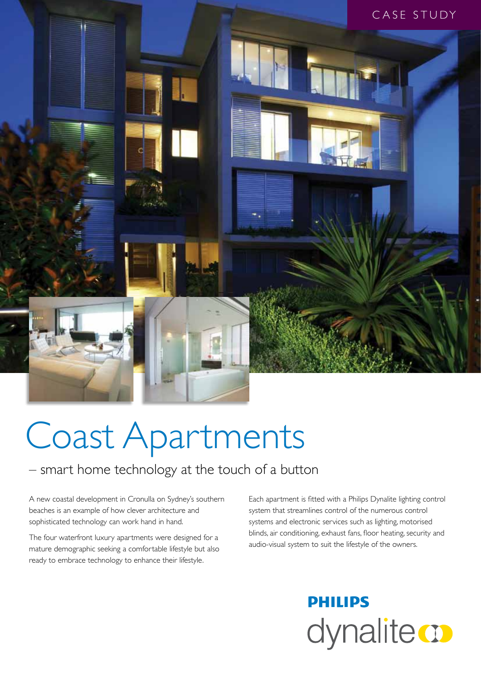

# Coast Apartments

### – smart home technology at the touch of a button

A new coastal development in Cronulla on Sydney's southern beaches is an example of how clever architecture and sophisticated technology can work hand in hand.

The four waterfront luxury apartments were designed for a mature demographic seeking a comfortable lifestyle but also ready to embrace technology to enhance their lifestyle.

Each apartment is fitted with a Philips Dynalite lighting control system that streamlines control of the numerous control systems and electronic services such as lighting, motorised blinds, air conditioning, exhaust fans, floor heating, security and audio-visual system to suit the lifestyle of the owners.

## **PHILIPS** dynalitect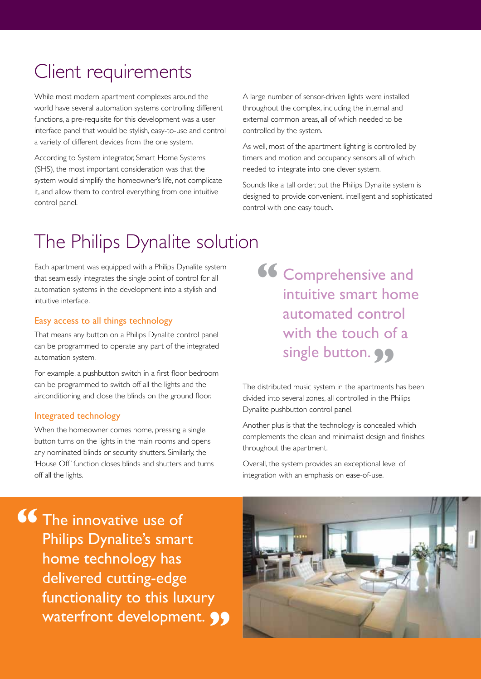### Client requirements

While most modern apartment complexes around the world have several automation systems controlling different functions, a pre-requisite for this development was a user interface panel that would be stylish, easy-to-use and control a variety of different devices from the one system.

According to System integrator, Smart Home Systems (SHS), the most important consideration was that the system would simplify the homeowner's life, not complicate it, and allow them to control everything from one intuitive control panel.

A large number of sensor-driven lights were installed throughout the complex, including the internal and external common areas, all of which needed to be controlled by the system.

As well, most of the apartment lighting is controlled by timers and motion and occupancy sensors all of which needed to integrate into one clever system.

Sounds like a tall order, but the Philips Dynalite system is designed to provide convenient, intelligent and sophisticated control with one easy touch.

### The Philips Dynalite solution

Each apartment was equipped with a Philips Dynalite system that seamlessly integrates the single point of control for all automation systems in the development into a stylish and intuitive interface.

#### Easy access to all things technology

That means any button on a Philips Dynalite control panel can be programmed to operate any part of the integrated automation system.

For example, a pushbutton switch in a first floor bedroom can be programmed to switch off all the lights and the airconditioning and close the blinds on the ground floor.

#### Integrated technology

When the homeowner comes home, pressing a single button turns on the lights in the main rooms and opens any nominated blinds or security shutters. Similarly, the 'House Off' function closes blinds and shutters and turns off all the lights.

Comprehensive and intuitive smart home automated control with the touch of a single button. **99 "**

The distributed music system in the apartments has been divided into several zones, all controlled in the Philips Dynalite pushbutton control panel.

Another plus is that the technology is concealed which complements the clean and minimalist design and finishes throughout the apartment.

Overall, the system provides an exceptional level of integration with an emphasis on ease-of-use.

The innovative use of Philips Dynalite's smart home technology has delivered cutting-edge functionality to this luxury waterfront development. **99 "**

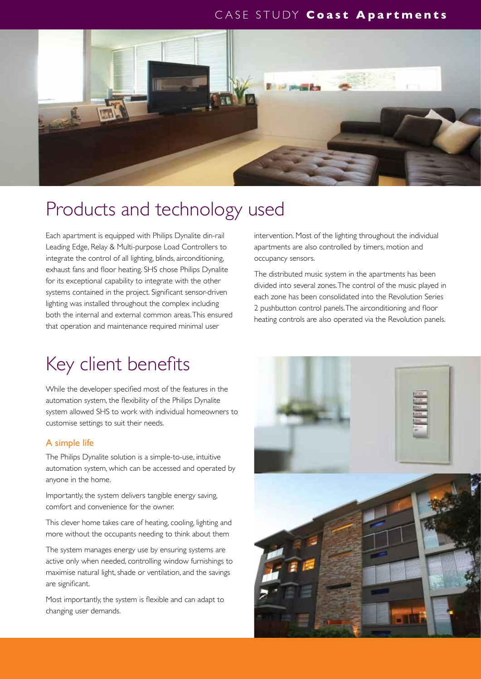#### CASE STUDY **Coast Apartments**



### Products and technology used

Each apartment is equipped with Philips Dynalite din-rail Leading Edge, Relay & Multi-purpose Load Controllers to integrate the control of all lighting, blinds, airconditioning, exhaust fans and floor heating. SHS chose Philips Dynalite for its exceptional capability to integrate with the other systems contained in the project. Significant sensor-driven lighting was installed throughout the complex including both the internal and external common areas. This ensured that operation and maintenance required minimal user

### Key client benefits

While the developer specified most of the features in the automation system, the flexibility of the Philips Dynalite system allowed SHS to work with individual homeowners to customise settings to suit their needs.

#### A simple life

The Philips Dynalite solution is a simple-to-use, intuitive automation system, which can be accessed and operated by anyone in the home.

Importantly, the system delivers tangible energy saving, comfort and convenience for the owner.

This clever home takes care of heating, cooling, lighting and more without the occupants needing to think about them

The system manages energy use by ensuring systems are active only when needed, controlling window furnishings to maximise natural light, shade or ventilation, and the savings are significant.

Most importantly, the system is flexible and can adapt to changing user demands.

intervention. Most of the lighting throughout the individual apartments are also controlled by timers, motion and occupancy sensors.

The distributed music system in the apartments has been divided into several zones. The control of the music played in each zone has been consolidated into the Revolution Series 2 pushbutton control panels. The airconditioning and floor heating controls are also operated via the Revolution panels.